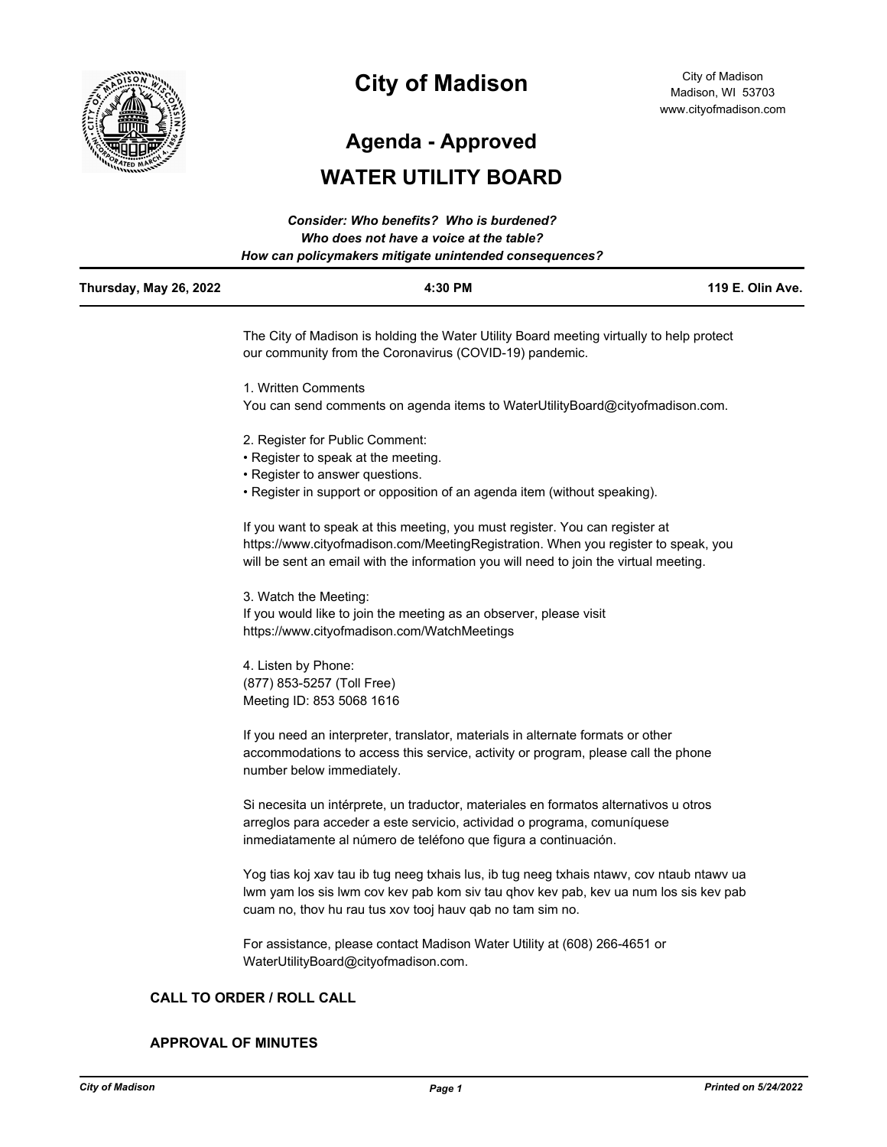

# **City of Madison**

City of Madison Madison, WI 53703 www.cityofmadison.com

**Agenda - Approved**

## **WATER UTILITY BOARD**

|                        | <b>Consider: Who benefits? Who is burdened?</b><br>Who does not have a voice at the table?<br>How can policymakers mitigate unintended consequences?                                                                                                        |                  |
|------------------------|-------------------------------------------------------------------------------------------------------------------------------------------------------------------------------------------------------------------------------------------------------------|------------------|
| Thursday, May 26, 2022 | 4:30 PM                                                                                                                                                                                                                                                     | 119 E. Olin Ave. |
|                        | The City of Madison is holding the Water Utility Board meeting virtually to help protect<br>our community from the Coronavirus (COVID-19) pandemic.                                                                                                         |                  |
|                        | 1. Written Comments                                                                                                                                                                                                                                         |                  |
|                        | You can send comments on agenda items to WaterUtilityBoard@cityofmadison.com.                                                                                                                                                                               |                  |
|                        | 2. Register for Public Comment:                                                                                                                                                                                                                             |                  |
|                        | • Register to speak at the meeting.                                                                                                                                                                                                                         |                  |
|                        | • Register to answer questions.                                                                                                                                                                                                                             |                  |
|                        | • Register in support or opposition of an agenda item (without speaking).                                                                                                                                                                                   |                  |
|                        | If you want to speak at this meeting, you must register. You can register at<br>https://www.cityofmadison.com/MeetingRegistration. When you register to speak, you<br>will be sent an email with the information you will need to join the virtual meeting. |                  |
|                        | 3. Watch the Meeting:                                                                                                                                                                                                                                       |                  |
|                        | If you would like to join the meeting as an observer, please visit<br>https://www.cityofmadison.com/WatchMeetings                                                                                                                                           |                  |
|                        | 4. Listen by Phone:                                                                                                                                                                                                                                         |                  |
|                        | (877) 853-5257 (Toll Free)                                                                                                                                                                                                                                  |                  |
|                        | Meeting ID: 853 5068 1616                                                                                                                                                                                                                                   |                  |
|                        | If you need an interpreter, translator, materials in alternate formats or other<br>accommodations to access this service, activity or program, please call the phone<br>number below immediately.                                                           |                  |
|                        | Si necesita un intérprete, un traductor, materiales en formatos alternativos u otros<br>arreglos para acceder a este servicio, actividad o programa, comuníquese<br>inmediatamente al número de teléfono que figura a continuación.                         |                  |
|                        | Yog tias koj xav tau ib tug neeg txhais lus, ib tug neeg txhais ntawv, cov ntaub ntawv ua<br>lwm yam los sis lwm cov kev pab kom siv tau qhov kev pab, kev ua num los sis kev pab<br>cuam no, thov hu rau tus xov tooj hauv qab no tam sim no.              |                  |

For assistance, please contact Madison Water Utility at (608) 266-4651 or WaterUtilityBoard@cityofmadison.com.

## **CALL TO ORDER / ROLL CALL**

#### **APPROVAL OF MINUTES**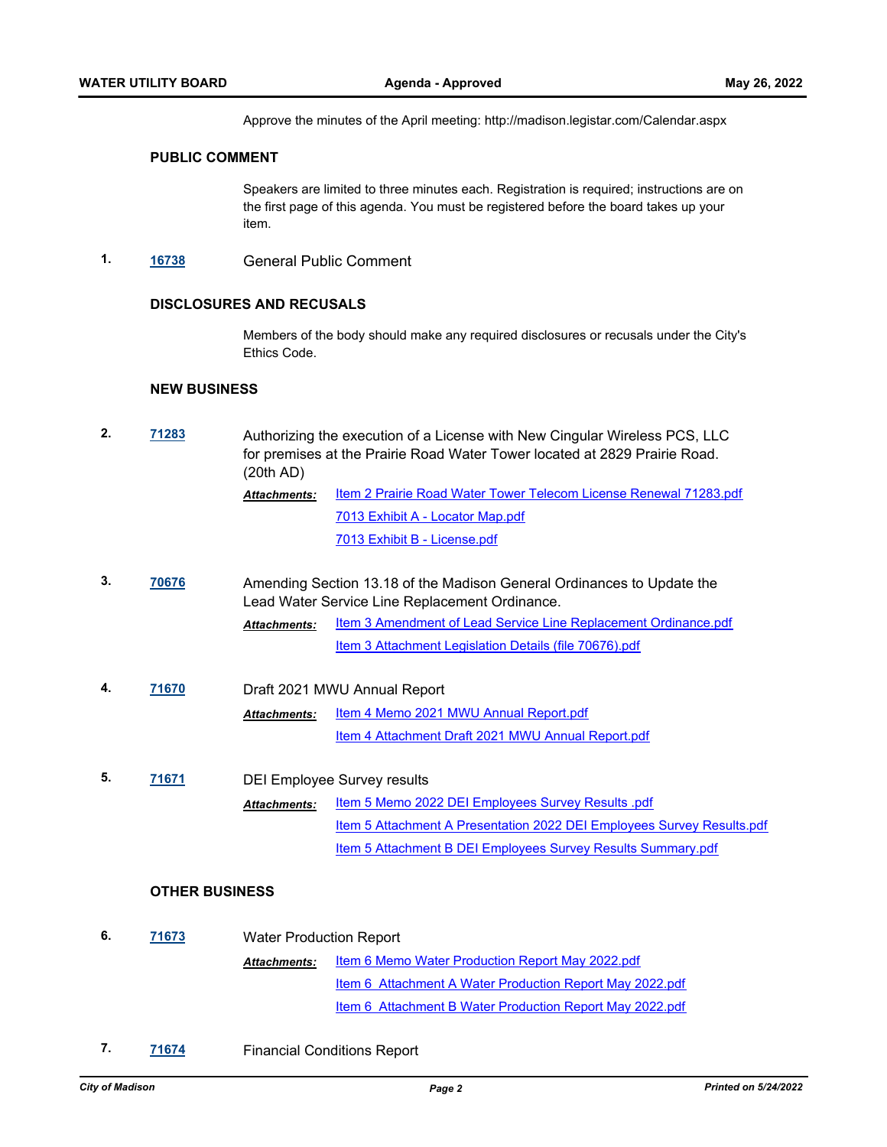Approve the minutes of the April meeting: http://madison.legistar.com/Calendar.aspx

#### **PUBLIC COMMENT**

Speakers are limited to three minutes each. Registration is required; instructions are on the first page of this agenda. You must be registered before the board takes up your item.

**1. [16738](http://madison.legistar.com/gateway.aspx?m=l&id=/matter.aspx?key=18604)** General Public Comment

### **DISCLOSURES AND RECUSALS**

Members of the body should make any required disclosures or recusals under the City's Ethics Code.

#### **NEW BUSINESS**

| 2. | 71283                 | (20th AD)                      | Authorizing the execution of a License with New Cingular Wireless PCS, LLC<br>for premises at the Prairie Road Water Tower located at 2829 Prairie Road. |  |  |  |
|----|-----------------------|--------------------------------|----------------------------------------------------------------------------------------------------------------------------------------------------------|--|--|--|
|    |                       | Attachments:                   | Item 2 Prairie Road Water Tower Telecom License Renewal 71283.pdf                                                                                        |  |  |  |
|    |                       |                                | 7013 Exhibit A - Locator Map.pdf                                                                                                                         |  |  |  |
|    |                       |                                | 7013 Exhibit B - License.pdf                                                                                                                             |  |  |  |
| 3. | 70676                 |                                | Amending Section 13.18 of the Madison General Ordinances to Update the<br>Lead Water Service Line Replacement Ordinance.                                 |  |  |  |
|    |                       | <b>Attachments:</b>            | Item 3 Amendment of Lead Service Line Replacement Ordinance.pdf                                                                                          |  |  |  |
|    |                       |                                | Item 3 Attachment Legislation Details (file 70676).pdf                                                                                                   |  |  |  |
| 4. | 71670                 |                                | Draft 2021 MWU Annual Report                                                                                                                             |  |  |  |
|    |                       | <b>Attachments:</b>            | Item 4 Memo 2021 MWU Annual Report.pdf                                                                                                                   |  |  |  |
|    |                       |                                | Item 4 Attachment Draft 2021 MWU Annual Report.pdf                                                                                                       |  |  |  |
| 5. | 71671                 |                                | <b>DEI Employee Survey results</b>                                                                                                                       |  |  |  |
|    |                       | <b>Attachments:</b>            | <b>Item 5 Memo 2022 DEI Employees Survey Results .pdf</b>                                                                                                |  |  |  |
|    |                       |                                | Item 5 Attachment A Presentation 2022 DEI Employees Survey Results.pdf                                                                                   |  |  |  |
|    |                       |                                | Item 5 Attachment B DEI Employees Survey Results Summary.pdf                                                                                             |  |  |  |
|    | <b>OTHER BUSINESS</b> |                                |                                                                                                                                                          |  |  |  |
| 6. | 71673                 | <b>Water Production Report</b> |                                                                                                                                                          |  |  |  |
|    |                       | <b>Attachments:</b>            | Item 6 Memo Water Production Report May 2022.pdf                                                                                                         |  |  |  |
|    |                       |                                | Item 6 Attachment A Water Production Report May 2022.pdf                                                                                                 |  |  |  |
|    |                       |                                | Item 6 Attachment B Water Production Report May 2022.pdf                                                                                                 |  |  |  |
|    |                       |                                |                                                                                                                                                          |  |  |  |

**7. [71674](http://madison.legistar.com/gateway.aspx?m=l&id=/matter.aspx?key=83544)** Financial Conditions Report